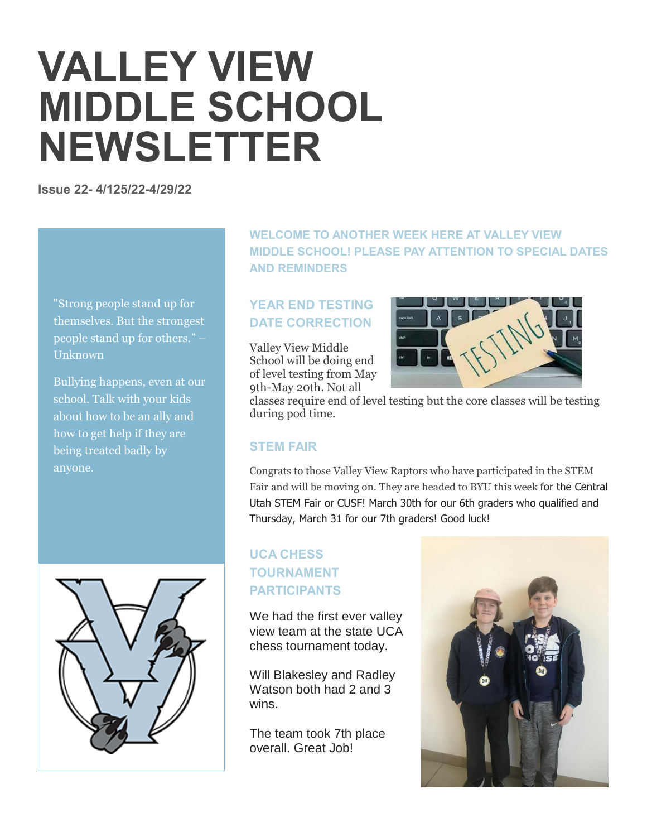# **VALLEY VIEW MIDDLE SCHOOL NEWSLETTER**

**Issue 22- 4/125/22-4/29/22**

"Strong people stand up for themselves. But the strongest people stand up for others." – Unknown

Bullying happens, even at our school. Talk with your kids about how to be an ally and how to get help if they are being treated badly by anyone.



**WELCOME TO ANOTHER WEEK HERE AT VALLEY VIEW MIDDLE SCHOOL! PLEASE PAY ATTENTION TO SPECIAL DATES AND REMINDERS**

# **YEAR END TESTING DATE CORRECTION**

Valley View Middle School will be doing end of level testing from May 9th-May 20th. Not all



classes require end of level testing but the core classes will be testing during pod time.

# **STEM FAIR**

Congrats to those Valley View Raptors who have participated in the STEM Fair and will be moving on. They are headed to BYU this week for the Central Utah STEM Fair or CUSF! March 30th for our 6th graders who qualified and Thursday, March 31 for our 7th graders! Good luck!

# **UCA CHESS TOURNAMENT PARTICIPANTS**

We had the first ever valley view team at the state UCA chess tournament today.

Will Blakesley and Radley Watson both had 2 and 3 wins.

The team took 7th place overall. Great Job!

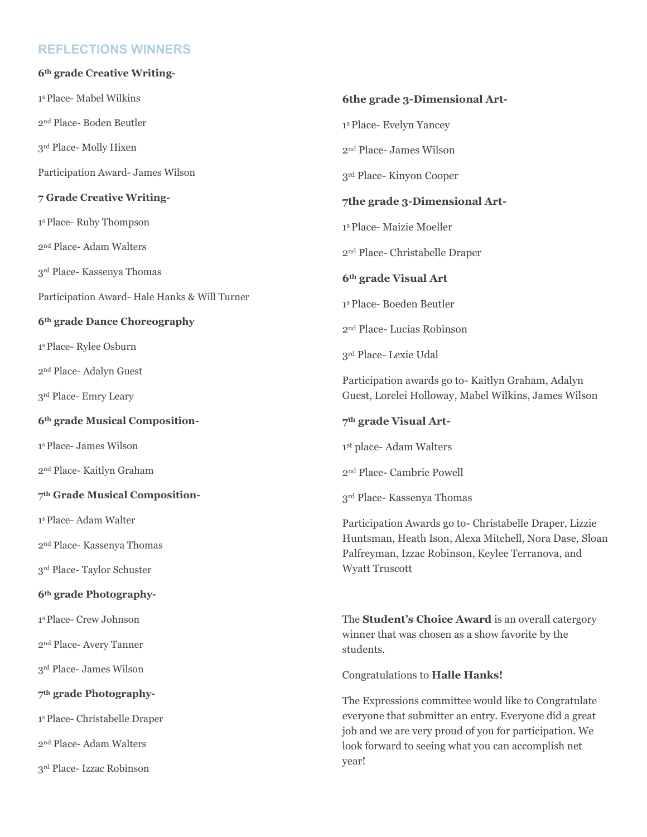## **REFLECTIONS WINNERS**

| 6th grade Creative Writing-                   |                                                                                                                                                                                                                                         |
|-----------------------------------------------|-----------------------------------------------------------------------------------------------------------------------------------------------------------------------------------------------------------------------------------------|
| 1 <sup>s</sup> Place- Mabel Wilkins           | 6the grade 3-Dimensional Art-                                                                                                                                                                                                           |
| 2 <sup>nd</sup> Place-Boden Beutler           | <sup>1s</sup> Place- Evelyn Yancey                                                                                                                                                                                                      |
| 3rd Place-Molly Hixen                         | 2 <sup>nd</sup> Place- James Wilson                                                                                                                                                                                                     |
| Participation Award- James Wilson             | 3 <sup>rd</sup> Place-Kinyon Cooper                                                                                                                                                                                                     |
| 7 Grade Creative Writing-                     | 7the grade 3-Dimensional Art-                                                                                                                                                                                                           |
| <sup>1s</sup> Place-Ruby Thompson             | 1 <sup>s</sup> Place-Maizie Moeller                                                                                                                                                                                                     |
| 2 <sup>nd</sup> Place-Adam Walters            | 2 <sup>nd</sup> Place- Christabelle Draper                                                                                                                                                                                              |
| 3rd Place- Kassenya Thomas                    | 6th grade Visual Art                                                                                                                                                                                                                    |
| Participation Award- Hale Hanks & Will Turner | 1 <sup>s</sup> Place-Boeden Beutler                                                                                                                                                                                                     |
| 6th grade Dance Choreography                  | 2 <sup>nd</sup> Place- Lucias Robinson                                                                                                                                                                                                  |
| <sup>1s</sup> Place-Rylee Osburn              | 3rd Place- Lexie Udal                                                                                                                                                                                                                   |
| 2 <sup>nd</sup> Place- Adalyn Guest           | Participation awards go to-Kaitlyn Graham, Adalyn<br>Guest, Lorelei Holloway, Mabel Wilkins, James Wilson                                                                                                                               |
| 3 <sup>rd</sup> Place- Emry Leary             |                                                                                                                                                                                                                                         |
| 6th grade Musical Composition-                | 7 <sup>th</sup> grade Visual Art-                                                                                                                                                                                                       |
| 1 <sup>s</sup> Place- James Wilson            | 1st place- Adam Walters                                                                                                                                                                                                                 |
| 2 <sup>nd</sup> Place- Kaitlyn Graham         | 2 <sup>nd</sup> Place- Cambrie Powell                                                                                                                                                                                                   |
| 7th Grade Musical Composition-                | 3rd Place- Kassenya Thomas                                                                                                                                                                                                              |
| 1 <sup>s</sup> Place-Adam Walter              | Participation Awards go to- Christabelle Draper, Lizzie<br>Huntsman, Heath Ison, Alexa Mitchell, Nora Dase, Sloan<br>Palfreyman, Izzac Robinson, Keylee Terranova, and<br><b>Wyatt Truscott</b>                                         |
| 2 <sup>nd</sup> Place- Kassenya Thomas        |                                                                                                                                                                                                                                         |
| 3rd Place-Taylor Schuster                     |                                                                                                                                                                                                                                         |
| 6 <sup>th</sup> grade Photography-            |                                                                                                                                                                                                                                         |
| <sup>1s</sup> Place- Crew Johnson             | The <b>Student's Choice Award</b> is an overall catergory<br>winner that was chosen as a show favorite by the<br>students.                                                                                                              |
| 2 <sup>nd</sup> Place- Avery Tanner           |                                                                                                                                                                                                                                         |
| 3rd Place- James Wilson                       | Congratulations to Halle Hanks!                                                                                                                                                                                                         |
| 7 <sup>th</sup> grade Photography-            | The Expressions committee would like to Congratulate<br>everyone that submitter an entry. Everyone did a great<br>job and we are very proud of you for participation. We<br>look forward to seeing what you can accomplish net<br>year! |
| <sup>1s</sup> Place- Christabelle Draper      |                                                                                                                                                                                                                                         |
| 2 <sup>nd</sup> Place-Adam Walters            |                                                                                                                                                                                                                                         |
| 3rd Place- Izzac Robinson                     |                                                                                                                                                                                                                                         |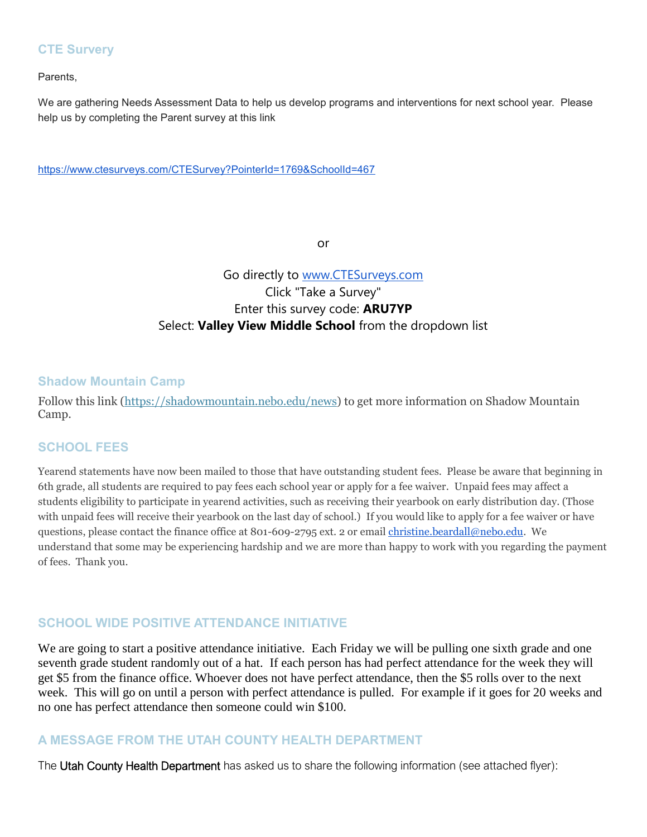#### **CTE Survery**

Parents,

We are gathering Needs Assessment Data to help us develop programs and interventions for next school year. Please help us by completing the Parent survey at this link

<https://www.ctesurveys.com/CTESurvey?PointerId=1769&SchoolId=467>

or

# Go directly to [www.CTESurveys.com](http://www.ctesurveys.com/) Click "Take a Survey" Enter this survey code: **ARU7YP** Select: **Valley View Middle School** from the dropdown list

#### **Shadow Mountain Camp**

Follow this link [\(https://shadowmountain.nebo.edu/news\)](https://shadowmountain.nebo.edu/news) to get more information on Shadow Mountain Camp.

#### **SCHOOL FEES**

Yearend statements have now been mailed to those that have outstanding student fees. Please be aware that beginning in 6th grade, all students are required to pay fees each school year or apply for a fee waiver. Unpaid fees may affect a students eligibility to participate in yearend activities, such as receiving their yearbook on early distribution day. (Those with unpaid fees will receive their yearbook on the last day of school.) If you would like to apply for a fee waiver or have questions, please contact the finance office at 801-609-2795 ext. 2 or email [christine.beardall@nebo.edu.](mailto:christine.beardall@nebo.edu) We understand that some may be experiencing hardship and we are more than happy to work with you regarding the payment of fees. Thank you.

# **SCHOOL WIDE POSITIVE ATTENDANCE INITIATIVE**

We are going to start a positive attendance initiative. Each Friday we will be pulling one sixth grade and one seventh grade student randomly out of a hat. If each person has had perfect attendance for the week they will get \$5 from the finance office. Whoever does not have perfect attendance, then the \$5 rolls over to the next week. This will go on until a person with perfect attendance is pulled. For example if it goes for 20 weeks and no one has perfect attendance then someone could win \$100.

#### **A MESSAGE FROM THE UTAH COUNTY HEALTH DEPARTMENT**

The Utah County Health Department has asked us to share the following information (see attached flyer):